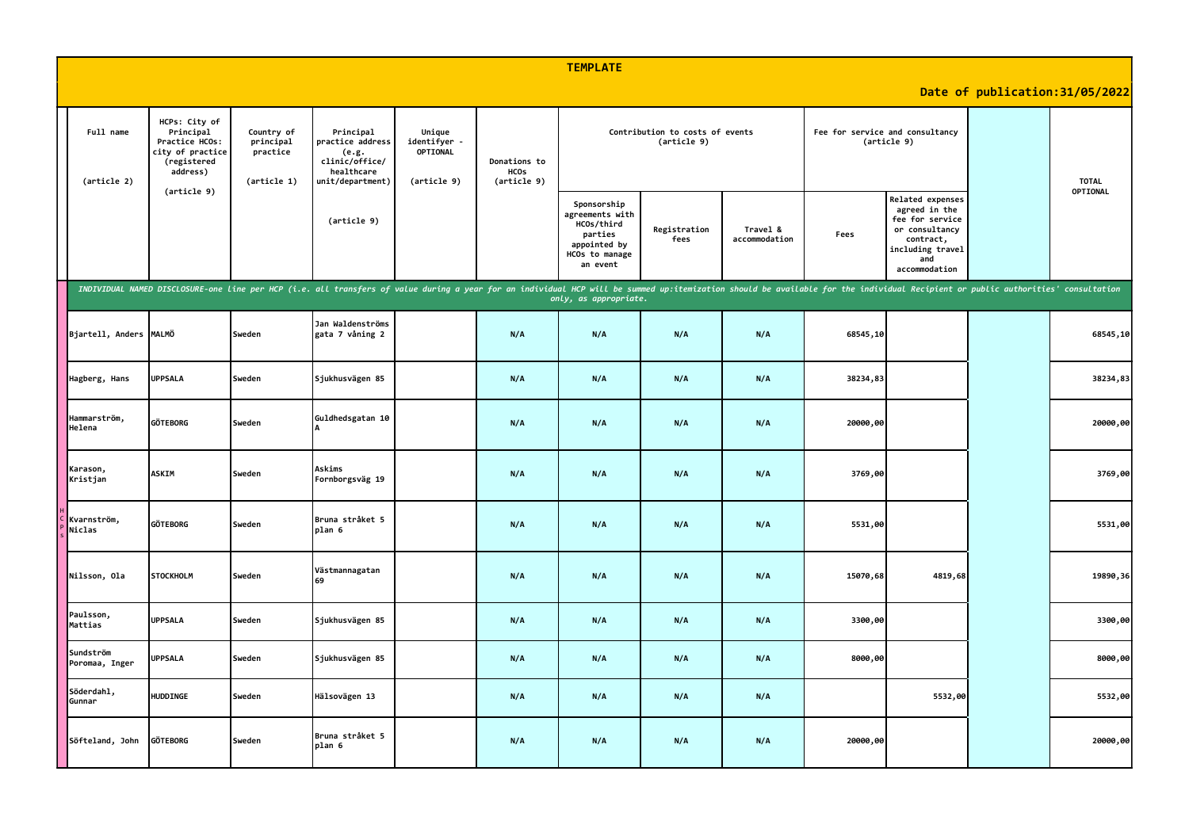|                             |                                                                                             |                                                    |                                                                                                                                                                                                                                |                                                                                                 |     | <b>TEMPLATE</b>                                                                                       |                      |                                 |          |                                                                                                                                        |                                 |              |
|-----------------------------|---------------------------------------------------------------------------------------------|----------------------------------------------------|--------------------------------------------------------------------------------------------------------------------------------------------------------------------------------------------------------------------------------|-------------------------------------------------------------------------------------------------|-----|-------------------------------------------------------------------------------------------------------|----------------------|---------------------------------|----------|----------------------------------------------------------------------------------------------------------------------------------------|---------------------------------|--------------|
|                             |                                                                                             |                                                    |                                                                                                                                                                                                                                |                                                                                                 |     |                                                                                                       |                      |                                 |          |                                                                                                                                        | Date of publication: 31/05/2022 |              |
| Full name<br>(article 2)    | HCPs: City of<br>Principal<br>Practice HCOs:<br>city of practice<br>(registered<br>address) | Country of<br>principal<br>practice<br>(article 1) | Principal<br>practice address<br>(e.g.<br>clinic/office/<br>healthcare<br>unit/department)                                                                                                                                     | Unique<br>identifyer -<br>OPTIONAL<br>Donations to<br><b>HCOs</b><br>(article 9)<br>(article 9) |     |                                                                                                       | (article 9)          | Contribution to costs of events |          | Fee for service and consultancy<br>(article 9)                                                                                         |                                 | <b>TOTAL</b> |
|                             | (article 9)                                                                                 |                                                    | (article 9)                                                                                                                                                                                                                    |                                                                                                 |     | Sponsorship<br>agreements with<br>HCOs/third<br>parties<br>appointed by<br>HCOs to manage<br>an event | Registration<br>fees | Travel &<br>accommodation       | Fees     | <b>Related expenses</b><br>agreed in the<br>fee for service<br>or consultancy<br>contract,<br>including travel<br>and<br>accommodation |                                 | OPTIONAL     |
|                             |                                                                                             |                                                    | INDIVIDUAL NAMED DISCLOSURE-one line per HCP (i.e. all transfers of value during a year for an individual HCP will be summed up:itemization should be available for the individual Recipient or public authorities' consultati |                                                                                                 |     | only, as appropriate.                                                                                 |                      |                                 |          |                                                                                                                                        |                                 |              |
| Bjartell, Anders MALMÖ      |                                                                                             | Sweden                                             | Jan Waldenströms<br>gata 7 våning 2                                                                                                                                                                                            |                                                                                                 | N/A | N/A                                                                                                   | N/A                  | N/A                             | 68545,10 |                                                                                                                                        |                                 | 68545,10     |
| Hagberg, Hans               | <b>UPPSALA</b>                                                                              | Sweden                                             | Sjukhusvägen 85                                                                                                                                                                                                                |                                                                                                 | N/A | N/A                                                                                                   | N/A                  | N/A                             | 38234,83 |                                                                                                                                        |                                 | 38234,83     |
| Hammarström,<br>Helena      | <b>GÖTEBORG</b>                                                                             | Sweden                                             | Guldhedsgatan 10                                                                                                                                                                                                               |                                                                                                 | N/A | N/A                                                                                                   | N/A                  | N/A                             | 20000,00 |                                                                                                                                        |                                 | 20000,00     |
| Karason,<br>Kristjan        | <b>ASKIM</b>                                                                                | Sweden                                             | Askims<br>Fornborgsväg 19                                                                                                                                                                                                      |                                                                                                 | N/A | N/A                                                                                                   | N/A                  | N/A                             | 3769,00  |                                                                                                                                        |                                 | 3769,00      |
| Kvarnström,<br>Niclas       | <b>GÖTEBORG</b>                                                                             | Sweden                                             | Bruna stråket 5<br>plan 6                                                                                                                                                                                                      |                                                                                                 | N/A | N/A                                                                                                   | N/A                  | N/A                             | 5531,00  |                                                                                                                                        |                                 | 5531,00      |
| Nilsson, Ola                | <b>STOCKHOLM</b>                                                                            | Sweden                                             | Västmannagatan<br>69                                                                                                                                                                                                           |                                                                                                 | N/A | N/A                                                                                                   | N/A                  | N/A                             | 15070,68 | 4819,68                                                                                                                                |                                 | 19890, 36    |
| Paulsson,<br>Mattias        | <b>UPPSALA</b>                                                                              | Sweden                                             | Sjukhusvägen 85                                                                                                                                                                                                                |                                                                                                 | N/A | N/A                                                                                                   | N/A                  | N/A                             | 3300,00  |                                                                                                                                        |                                 | 3300,00      |
| Sundström<br>Poromaa, Inger | <b>UPPSALA</b>                                                                              | Sweden                                             | Sjukhusvägen 85                                                                                                                                                                                                                |                                                                                                 | N/A | N/A                                                                                                   | N/A                  | N/A                             | 8000,00  |                                                                                                                                        |                                 | 8000,00      |
| Söderdahl,<br>Gunnar        | HUDDINGE                                                                                    | Sweden                                             | Hälsovägen 13                                                                                                                                                                                                                  |                                                                                                 | N/A | N/A                                                                                                   | N/A                  | N/A                             |          | 5532,00                                                                                                                                |                                 | 5532,00      |
| Söfteland, John             | <b>GÖTEBORG</b>                                                                             | Sweden                                             | Bruna stråket 5<br>plan 6                                                                                                                                                                                                      |                                                                                                 | N/A | N/A                                                                                                   | N/A                  | N/A                             | 20000,00 |                                                                                                                                        |                                 | 20000,00     |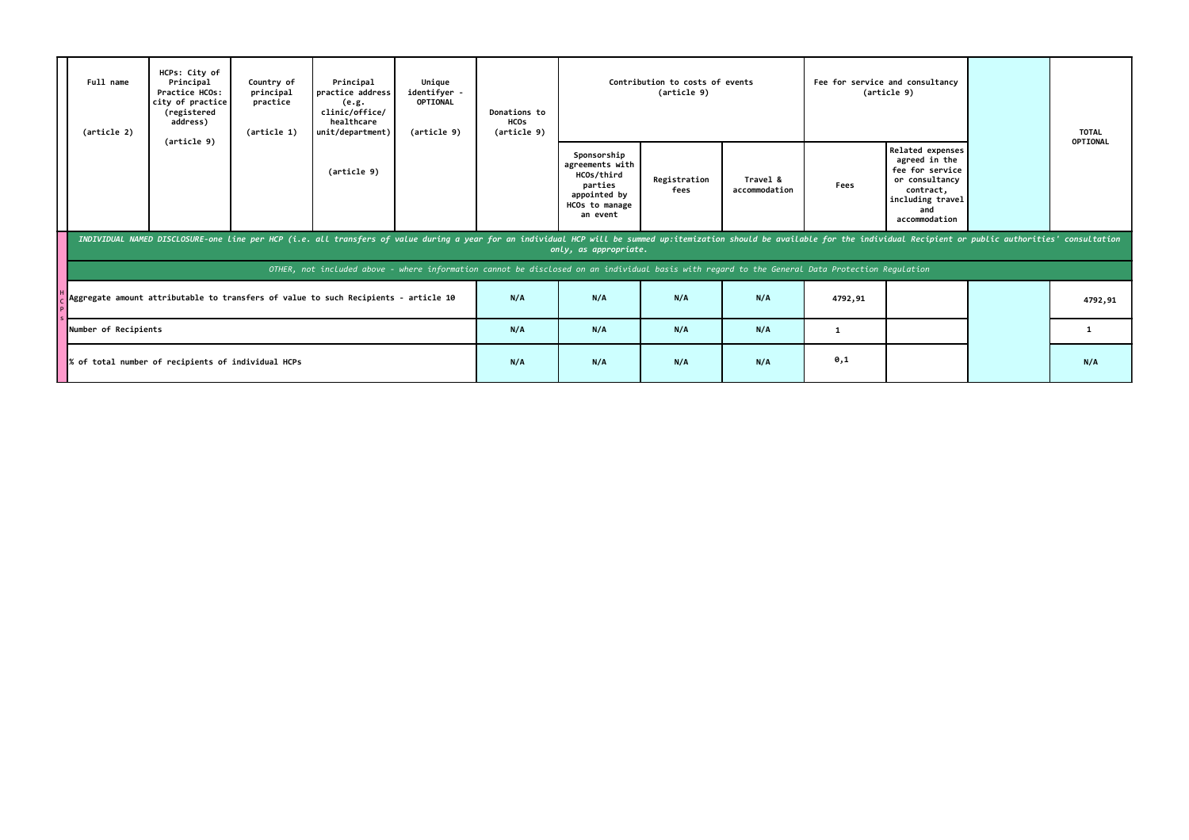|                                                    | Full name<br>(article 2) | HCPs: City of<br>Principal<br>Principal<br>Country of<br>Unique<br>identifyer -<br>principal<br>practice address<br>Practice HCOs:<br>city of practice<br>practice<br><b>OPTIONAL</b><br>(e.g.<br>clinic/office/<br>(registered<br>address)<br>healthcare<br>(article 1)<br>unit/department)<br>(article 9) |  |                                                                                                                                                                                                                                |  | <b>Donations to</b><br><b>HCOs</b><br>(article 9) |                                                                                                       | Contribution to costs of events<br>(article 9) |                           |         | Fee for service and consultancy<br>(article 9)                                                                                  | <b>TOTAL</b> |
|----------------------------------------------------|--------------------------|-------------------------------------------------------------------------------------------------------------------------------------------------------------------------------------------------------------------------------------------------------------------------------------------------------------|--|--------------------------------------------------------------------------------------------------------------------------------------------------------------------------------------------------------------------------------|--|---------------------------------------------------|-------------------------------------------------------------------------------------------------------|------------------------------------------------|---------------------------|---------|---------------------------------------------------------------------------------------------------------------------------------|--------------|
|                                                    |                          | (article 9)                                                                                                                                                                                                                                                                                                 |  | (article 9)                                                                                                                                                                                                                    |  |                                                   | Sponsorship<br>agreements with<br>HCOs/third<br>parties<br>appointed by<br>HCOs to manage<br>an event | Registration<br>fees                           | Travel &<br>accommodation | Fees    | Related expenses<br>agreed in the<br>fee for service<br>or consultancy<br>contract,<br>including travel<br>and<br>accommodation | OPTIONAL     |
|                                                    |                          |                                                                                                                                                                                                                                                                                                             |  | INDIVIDUAL NAMED DISCLOSURE-one line per HCP (i.e. all transfers of value during a year for an individual HCP will be summed up:itemization should be available for the individual Recipient or public authorities' consultati |  |                                                   | only, as appropriate.                                                                                 |                                                |                           |         |                                                                                                                                 |              |
|                                                    |                          |                                                                                                                                                                                                                                                                                                             |  | OTHER, not included above - where information cannot be disclosed on an individual basis with regard to the General Data Protection Regulation                                                                                 |  |                                                   |                                                                                                       |                                                |                           |         |                                                                                                                                 |              |
|                                                    |                          |                                                                                                                                                                                                                                                                                                             |  | Aggregate amount attributable to transfers of value to such Recipients - article 10                                                                                                                                            |  | N/A                                               | N/A                                                                                                   | N/A                                            | N/A                       | 4792,91 |                                                                                                                                 | 4792,91      |
| Number of Recipients                               |                          |                                                                                                                                                                                                                                                                                                             |  |                                                                                                                                                                                                                                |  | N/A                                               | N/A                                                                                                   | N/A                                            | N/A                       | 1       |                                                                                                                                 | $\mathbf{1}$ |
| % of total number of recipients of individual HCPs |                          |                                                                                                                                                                                                                                                                                                             |  |                                                                                                                                                                                                                                |  | N/A                                               | N/A                                                                                                   | N/A                                            | N/A                       | 0,1     |                                                                                                                                 | N/A          |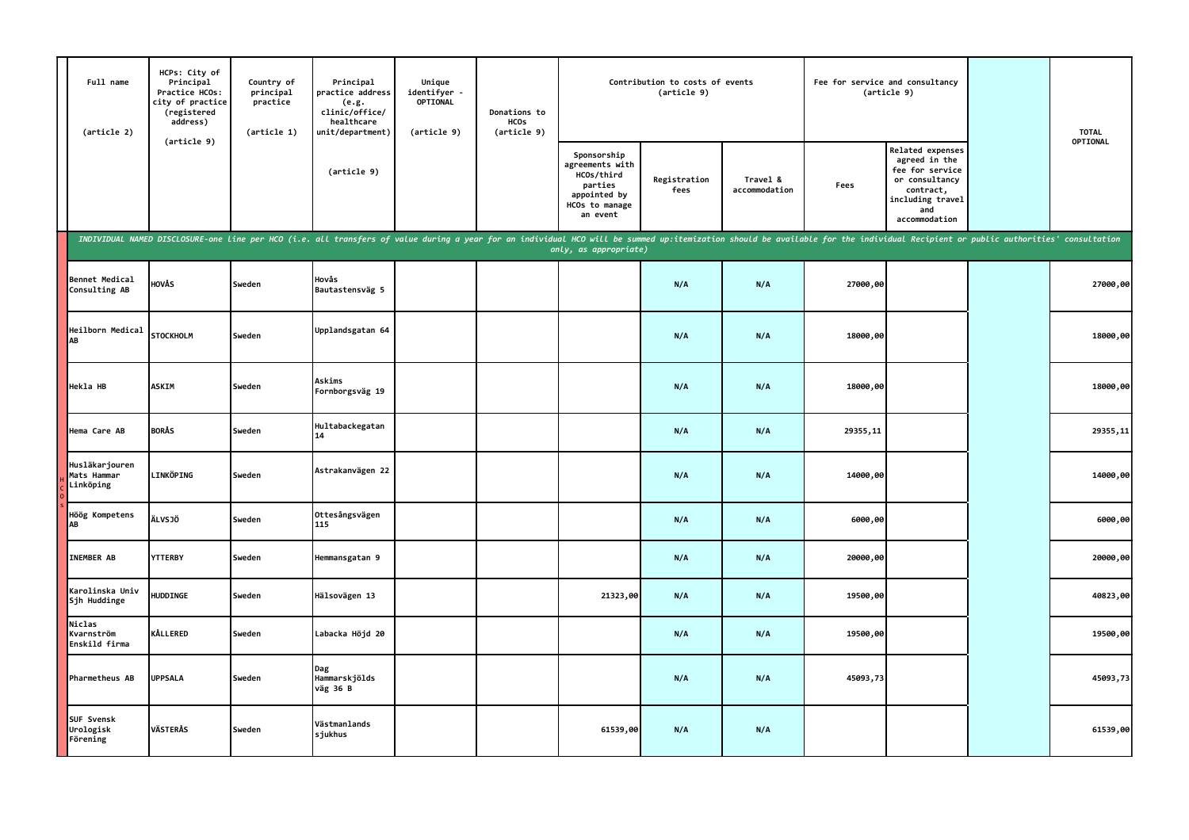| Full name<br>(article 2)                   | HCPs: City of<br>Principal<br>Practice HCOs:<br>city of practice<br>(registered<br>address)                                                                                                                                    | Country of<br>principal<br>practice<br>(article 1) | Principal<br>practice address<br>(e.g.<br>clinic/office/<br>healthcare<br>unit/department) | Unique<br>identifyer -<br><b>OPTIONAL</b><br>(article 9) | Donations to<br><b>HCOs</b><br>(article 9) |                                                                                                       | Contribution to costs of events<br>(article 9) |                           |          | Fee for service and consultancy<br>(article 9)                                                                                  | <b>TOTAL</b> |
|--------------------------------------------|--------------------------------------------------------------------------------------------------------------------------------------------------------------------------------------------------------------------------------|----------------------------------------------------|--------------------------------------------------------------------------------------------|----------------------------------------------------------|--------------------------------------------|-------------------------------------------------------------------------------------------------------|------------------------------------------------|---------------------------|----------|---------------------------------------------------------------------------------------------------------------------------------|--------------|
|                                            | (article 9)                                                                                                                                                                                                                    |                                                    | (article 9)                                                                                |                                                          |                                            | Sponsorship<br>agreements with<br>HCOs/third<br>parties<br>appointed by<br>HCOs to manage<br>an event | Registration<br>fees                           | Travel &<br>accommodation | Fees     | Related expenses<br>agreed in the<br>fee for service<br>or consultancy<br>contract,<br>including travel<br>and<br>accommodation | OPTIONAL     |
|                                            | INDIVIDUAL NAMED DISCLOSURE-one line per HCO (i.e. all transfers of value during a year for an individual HCO will be summed up:itemization should be available for the individual Recipient or public authorities' consultati |                                                    |                                                                                            |                                                          |                                            | only, as appropriate)                                                                                 |                                                |                           |          |                                                                                                                                 |              |
| <b>Bennet Medical</b><br>Consulting AB     | HOVÅS                                                                                                                                                                                                                          | Sweden                                             | Hovås<br>Bautastensväg 5                                                                   |                                                          |                                            |                                                                                                       | N/A                                            | N/A                       | 27000,00 |                                                                                                                                 | 27000,00     |
| Heilborn Medical<br>AB                     | <b>STOCKHOLM</b>                                                                                                                                                                                                               | Sweden                                             | Upplandsgatan 64                                                                           |                                                          |                                            |                                                                                                       | N/A                                            | N/A                       | 18000,00 |                                                                                                                                 | 18000,00     |
| Hekla HB                                   | <b>ASKIM</b>                                                                                                                                                                                                                   | Sweden                                             | Askims<br>Fornborgsväg 19                                                                  |                                                          |                                            |                                                                                                       | N/A                                            | N/A                       | 18000,00 |                                                                                                                                 | 18000,00     |
| Hema Care AB                               | <b>BORÅS</b>                                                                                                                                                                                                                   | Sweden                                             | Hultabackegatan<br>14                                                                      |                                                          |                                            |                                                                                                       | N/A                                            | N/A                       | 29355,11 |                                                                                                                                 | 29355,11     |
| Husläkarjouren<br>Mats Hammar<br>Linköping | <b>LINKÖPING</b>                                                                                                                                                                                                               | Sweden                                             | Astrakanvägen 22                                                                           |                                                          |                                            |                                                                                                       | N/A                                            | N/A                       | 14000,00 |                                                                                                                                 | 14000,00     |
| Höög Kompetens<br>AB                       | <b>ÄLVSJÖ</b>                                                                                                                                                                                                                  | Sweden                                             | Ottesångsvägen<br>115                                                                      |                                                          |                                            |                                                                                                       | N/A                                            | N/A                       | 6000,00  |                                                                                                                                 | 6000,00      |
| <b>INEMBER AB</b>                          | <b>YTTERBY</b>                                                                                                                                                                                                                 | Sweden                                             | Hemmansgatan 9                                                                             |                                                          |                                            |                                                                                                       | N/A                                            | N/A                       | 20000,00 |                                                                                                                                 | 20000,00     |
| Karolinska Univ<br>Sjh Huddinge            | <b>HUDDINGE</b>                                                                                                                                                                                                                | Sweden                                             | Hälsovägen 13                                                                              |                                                          |                                            | 21323,00                                                                                              | N/A                                            | N/A                       | 19500,00 |                                                                                                                                 | 40823,00     |
| Niclas<br>Kvarnström<br>Enskild firma      | KÅLLERED                                                                                                                                                                                                                       | Sweden                                             | Labacka Höjd 20                                                                            |                                                          |                                            |                                                                                                       | N/A                                            | N/A                       | 19500,00 |                                                                                                                                 | 19500,00     |
| Pharmetheus AB                             | <b>UPPSALA</b>                                                                                                                                                                                                                 | Sweden                                             | Dag<br>Hammarskjölds<br>väg 36 B                                                           |                                                          |                                            |                                                                                                       | N/A                                            | N/A                       | 45093,73 |                                                                                                                                 | 45093,73     |
| SUF Svensk<br>Urologisk<br>Förening        | <b>VÄSTERÅS</b>                                                                                                                                                                                                                | Sweden                                             | Västmanlands<br>sjukhus                                                                    |                                                          |                                            | 61539,00                                                                                              | N/A                                            | N/A                       |          |                                                                                                                                 | 61539,00     |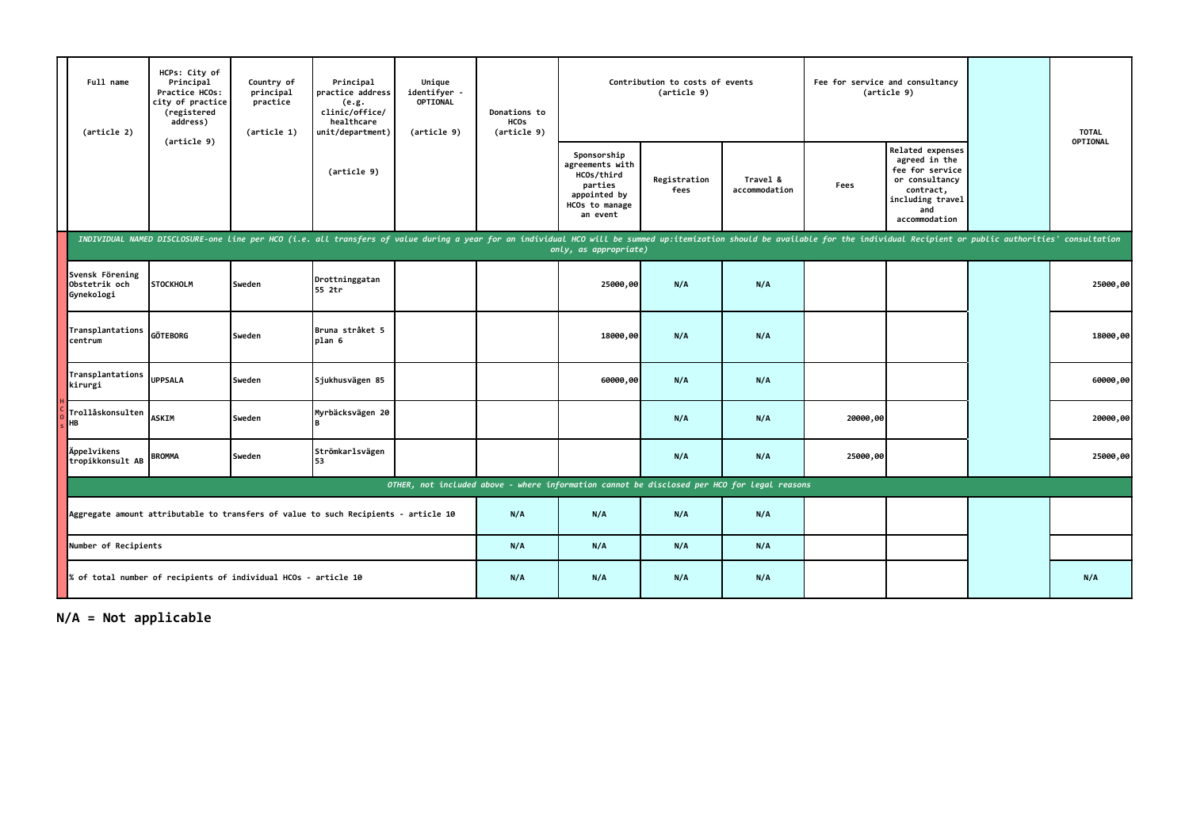| Full name<br>(article 2)                                                                    | HCPs: City of<br>Principal<br>Practice HCOs:<br>city of practice<br>(registered<br>address)                                                                                                                                    | Country of<br>principal<br>practice<br>(article 1) | Principal<br>practice address<br>(e.g.<br>clinic/office/<br>healthcare<br>unit/department) | Unique<br>identifyer<br><b>OPTIONAL</b><br>(article 9) | Donations to<br><b>HCOS</b><br>(article 9) |                                                                                                       | Contribution to costs of events<br>(article 9) |                           |          | Fee for service and consultancy<br>(article 9)                                                                                  | <b>TOTAL</b> |
|---------------------------------------------------------------------------------------------|--------------------------------------------------------------------------------------------------------------------------------------------------------------------------------------------------------------------------------|----------------------------------------------------|--------------------------------------------------------------------------------------------|--------------------------------------------------------|--------------------------------------------|-------------------------------------------------------------------------------------------------------|------------------------------------------------|---------------------------|----------|---------------------------------------------------------------------------------------------------------------------------------|--------------|
|                                                                                             | (article 9)                                                                                                                                                                                                                    |                                                    | (article 9)                                                                                |                                                        |                                            | Sponsorship<br>agreements with<br>HCOs/third<br>parties<br>appointed by<br>HCOs to manage<br>an event | Registration<br>fees                           | Travel &<br>accommodation | Fees     | Related expenses<br>agreed in the<br>fee for service<br>or consultancy<br>contract,<br>including travel<br>and<br>accommodation | OPTIONAL     |
|                                                                                             | INDIVIDUAL NAMED DISCLOSURE-one line per HCO (i.e. all transfers of value during a year for an individual HCO will be summed up:itemization should be available for the individual Recipient or public authorities' consultati |                                                    |                                                                                            |                                                        |                                            | only, as appropriate)                                                                                 |                                                |                           |          |                                                                                                                                 |              |
| Svensk Förening<br>Obstetrik och<br>Gynekologi                                              | <b>STOCKHOLM</b>                                                                                                                                                                                                               | Sweden                                             | Drottninggatan<br>55 2tr                                                                   |                                                        |                                            | 25000,00                                                                                              | N/A                                            | N/A                       |          |                                                                                                                                 | 25000,00     |
| Transplantations<br>centrum                                                                 | <b>GÖTEBORG</b>                                                                                                                                                                                                                | Sweden                                             | Bruna stråket 5<br>plan 6                                                                  |                                                        |                                            | 18000,00                                                                                              | N/A                                            | N/A                       |          |                                                                                                                                 | 18000,00     |
| Transplantations<br>kirurgi                                                                 | <b>UPPSALA</b>                                                                                                                                                                                                                 | Sweden                                             | Sjukhusvägen 85                                                                            |                                                        |                                            | 60000,00                                                                                              | N/A                                            | N/A                       |          |                                                                                                                                 | 60000,00     |
| Trollåskonsulten<br><b>HB</b>                                                               | <b>ASKIM</b>                                                                                                                                                                                                                   | Sweden                                             | Myrbäcksvägen 20                                                                           |                                                        |                                            |                                                                                                       | N/A                                            | N/A                       | 20000,00 |                                                                                                                                 | 20000,00     |
| Appelvikens<br>tropikkonsult AB                                                             | <b>BROMMA</b>                                                                                                                                                                                                                  | Sweden                                             | Strömkarlsvägen<br>53                                                                      |                                                        |                                            |                                                                                                       | N/A                                            | N/A                       | 25000,00 |                                                                                                                                 | 25000,00     |
| OTHER, not included above - where information cannot be disclosed per HCO for legal reasons |                                                                                                                                                                                                                                |                                                    |                                                                                            |                                                        |                                            |                                                                                                       |                                                |                           |          |                                                                                                                                 |              |
| Aggregate amount attributable to transfers of value to such Recipients - article 10         |                                                                                                                                                                                                                                |                                                    |                                                                                            |                                                        | N/A                                        | N/A                                                                                                   | N/A                                            | N/A                       |          |                                                                                                                                 |              |
| Number of Recipients<br>% of total number of recipients of individual HCOs - article 10     |                                                                                                                                                                                                                                |                                                    |                                                                                            |                                                        | N/A                                        | N/A                                                                                                   | N/A                                            | N/A                       |          |                                                                                                                                 |              |
|                                                                                             |                                                                                                                                                                                                                                |                                                    |                                                                                            |                                                        | N/A                                        | N/A                                                                                                   | N/A                                            | N/A                       |          |                                                                                                                                 | N/A          |

**N/A = Not applicable**